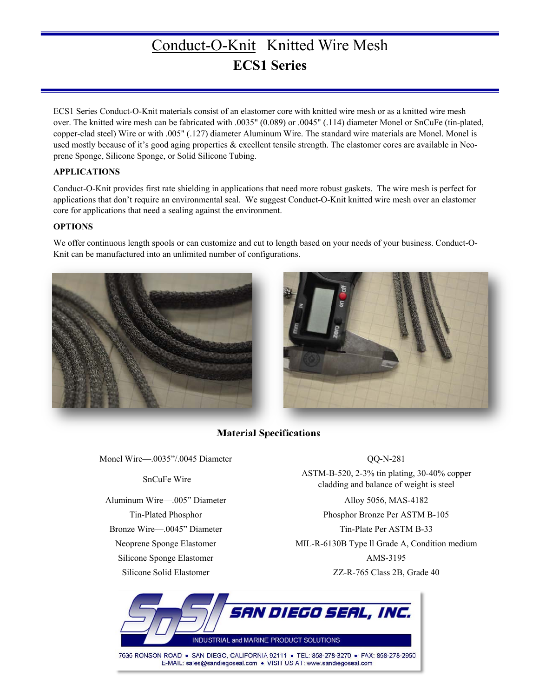# Conduct-O-Knit Knitted Wire Mesh **ECS1 Series**

ECS1 Series Conduct-O-Knit materials consist of an elastomer core with knitted wire mesh or as a knitted wire mesh over. The knitted wire mesh can be fabricated with .0035" (0.089) or .0045" (.114) diameter Monel or SnCuFe (tin-plated, copper-clad steel) Wire or with .005" (.127) diameter Aluminum Wire. The standard wire materials are Monel. Monel is used mostly because of it's good aging properties & excellent tensile strength. The elastomer cores are available in Neoprene Sponge, Silicone Sponge, or Solid Silicone Tubing.

### **APPLICATIONS**

Conduct-O-Knit provides first rate shielding in applications that need more robust gaskets. The wire mesh is perfect for applications that don't require an environmental seal. We suggest Conduct-O-Knit knitted wire mesh over an elastomer core for applications that need a sealing against the environment.

### **OPTIONS**

We offer continuous length spools or can customize and cut to length based on your needs of your business. Conduct-O-Knit can be manufactured into an unlimited number of configurations.





## **Material Specifications**

Monel Wire—.0035"/.0045 Diameter CO-N-281

Silicone Sponge Elastomer AMS-3195

SnCuFe Wire ASTM-B-520, 2-3% tin plating, 30-40% copper cladding and balance of weight is steel

Aluminum Wire—.005" Diameter Alloy 5056, MAS-4182 Tin-Plated Phosphor Phosphor Bronze Per ASTM B-105 Bronze Wire—.0045" Diameter Tin-Plate Per ASTM B-33 Neoprene Sponge Elastomer MIL-R-6130B Type ll Grade A, Condition medium Silicone Solid Elastomer The Case 22-R-765 Class 2B, Grade 40



7635 RONSON ROAD ● SAN DIEGO, CALIFORNIA 92111 ● TEL: 858-278-3270 ● FAX: 858-278-2950<br>E-MAIL: sales@sandiegoseal.com ● VISIT US AT: www.sandiegoseal.com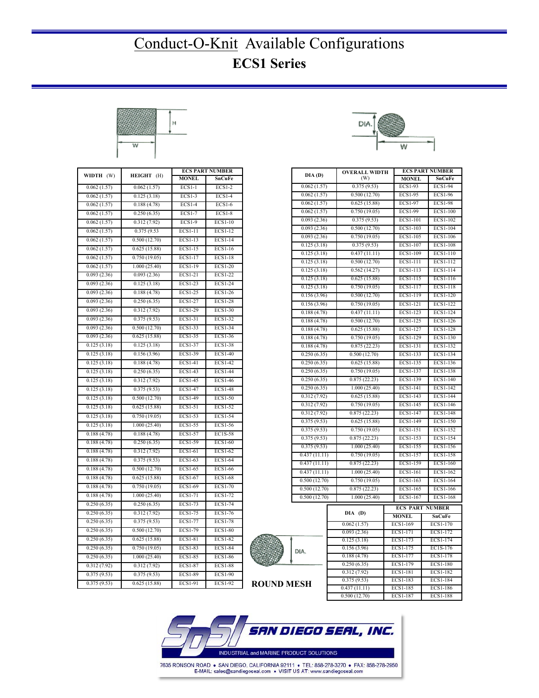# Conduct-O-Knit Available Configurations **ECS1 Series**



|                            |              | <b>ECS PART NUMBER</b> |                |  |
|----------------------------|--------------|------------------------|----------------|--|
| WIDTH (W)                  | HEIGHT (H)   | <b>MONEL</b>           | SnCuFe         |  |
| 0.062(1.57)                | 0.062(1.57)  | $ECS1-1$               | $ECS1-2$       |  |
| 0.062(1.57)                | 0.125(3.18)  | <b>ECS1-3</b>          | <b>ECS1-4</b>  |  |
| 0.062(1.57)                | 0.188(4.78)  | <b>ECS1-4</b>          | <b>ECS1-6</b>  |  |
| 0.062(1.57)                | 0.250(6.35)  | <b>ECS1-7</b>          | <b>ECS1-8</b>  |  |
| 0.062(1.57)                | 0.312(7.92)  | <b>ECS1-9</b>          | <b>ECS1-10</b> |  |
| 0.062(1.57)                | 0.375(9.53)  | ECS1-11                | ECS1-12        |  |
| 0.062(1.57)                | 0.500(12.70) | ECS1-13                | $ECS1-14$      |  |
| 0.062(1.57)                | 0.625(15.88) | <b>ECS1-15</b>         | <b>ECS1-16</b> |  |
| 0.062(1.57)                | 0.750(19.05) | ECS1-17                | <b>ECS1-18</b> |  |
| 0.062(1.57)                | 1.000(25.40) | <b>ECS1-19</b>         | <b>ECS1-20</b> |  |
| 0.093(2.36)                | 0.093(2.36)  | <b>ECS1-21</b>         | <b>ECS1-22</b> |  |
| 0.093(2.36)                | 0.125(3.18)  | <b>ECS1-23</b>         | <b>ECS1-24</b> |  |
| 0.093(2.36)                | 0.188(4.78)  | <b>ECS1-25</b>         | <b>ECS1-26</b> |  |
| 0.093(2.36)                | 0.250(6.35)  | <b>ECS1-27</b>         | <b>ECS1-28</b> |  |
| 0.093(2.36)                | 0.312(7.92)  | <b>ECS1-29</b>         | <b>ECS1-30</b> |  |
| 0.093(2.36)                | 0.375(9.53)  | <b>ECS1-31</b>         | <b>ECS1-32</b> |  |
| 0.093(2.36)                | 0.500(12.70) | ECS1-33                | <b>ECS1-34</b> |  |
| 0.093(2.36)                | 0.625(15.88) | <b>ECS1-35</b>         | <b>ECS1-36</b> |  |
| 0.125(3.18)                | 0.125(3.18)  | ECS1-37                | <b>ECS1-38</b> |  |
| 0.125(3.18)                | 0.156(3.96)  | <b>ECS1-39</b>         | <b>ECS1-40</b> |  |
| $\overline{0.1}$ 25 (3.18) | 0.188(4.78)  | <b>ECS1-41</b>         | <b>ECS1-42</b> |  |
| 0.125(3.18)                | 0.250(6.35)  | <b>ECS1-43</b>         | <b>ECS1-44</b> |  |
| 0.125(3.18)                | 0.312(7.92)  | <b>ECS1-45</b>         | <b>ECS1-46</b> |  |
| 0.125(3.18)                | 0.375(9.53)  | <b>ECS1-47</b>         | <b>ECS1-48</b> |  |
| 0.125(3.18)                | 0.500(12.70) | <b>ECS1-49</b>         | ECS1-50        |  |
| 0.125(3.18)                | 0.625(15.88) | <b>ECS1-51</b>         | ECS1-52        |  |
| 0.125(3.18)                | 0.750(19.05) | <b>ECS1-53</b>         | ECS1-54        |  |
| 0.125(3.18)                | 1.000(25.40) | <b>ECS1-55</b>         | ECS1-56        |  |
| 0.188(4.78)                | 0.188(4.78)  | <b>ECS1-57</b>         | EC1S-58        |  |
| 0.188(4.78)                | 0.250(6.35)  | ECS1-59                | <b>ECS1-60</b> |  |
| 0.188(4.78)                | 0.312(7.92)  | ECS1-61                | ECS1-62        |  |
| 0.188(4.78)                | 0.375(9.53)  | ECS1-63                | ECS1-64        |  |
| 0.188(4.78)                | 0.500(12.70) | <b>ECS1-65</b>         | <b>ECS1-66</b> |  |
| 0.188(4.78)                | 0.625(15.88) | ECS1-67                | <b>ECS1-68</b> |  |
| 0.188(4.78)                | 0.750(19.05) | <b>ECS1-69</b>         | <b>ECS1-70</b> |  |
| 0.188(4.78)                | 1.000(25.40) | <b>ECS1-71</b>         | <b>ECS1-72</b> |  |
| 0.250(6.35)                | 0.250(6.35)  | <b>ECS1-73</b>         | <b>ECS1-74</b> |  |
| 0.250(6.35)                | 0.312(7.92)  | <b>ECS1-75</b>         | <b>ECS1-76</b> |  |
| 0.250(6.35)                | 0.375(9.53)  | <b>ECS1-77</b>         | <b>ECS1-78</b> |  |
| 0.250(6.35)                | 0.500(12.70) | <b>ECS1-79</b>         | <b>ECS1-80</b> |  |
| 0.250(6.35)                | 0.625(15.88) | <b>ECS1-81</b>         | <b>ECS1-82</b> |  |
| 0.250(6.35)                | 0.750(19.05) | <b>ECS1-83</b>         | <b>ECS1-84</b> |  |
| 0.250(6.35)                | 1.000(25.40) | <b>ECS1-85</b>         | <b>ECS1-86</b> |  |
| 0.312(7.92)                | 0.312(7.92)  | <b>ECS1-87</b>         | <b>ECS1-88</b> |  |
| 0.375(9.53)                | 0.375(9.53)  | <b>ECS1-89</b>         | <b>ECS1-90</b> |  |
| 0.375(9.53)                | 0.625(15.88) | ECS1-91                | <b>ECS1-92</b> |  |



|              |             |                             |          |                 | <b>ECS PART NUMBER</b> |                 |
|--------------|-------------|-----------------------------|----------|-----------------|------------------------|-----------------|
| DIA(D)       |             | <b>OVERALL WIDTH</b><br>(W) |          | <b>MONEL</b>    |                        | SnCuFe          |
| 0.062(1.57)  |             | 0.375(9.53)                 |          | $ECS1-93$       |                        | <b>ECS1-94</b>  |
| 0.062(1.57)  |             | 0.500(12.70)                |          | ECS1-95         |                        | ECS1-96         |
| 0.062(1.57)  |             | 0.625(15.88)                |          | ECS1-97         |                        | <b>ECS1-98</b>  |
| 0.062(1.57)  |             | 0.750(19.05)                |          | ECS1-99         |                        | <b>ECS1-100</b> |
| 0.093(2.36)  |             | 0.375(9.53)                 |          | <b>ECS1-101</b> |                        | ECS1-102        |
| 0.093(2.36)  |             | 0.500(12.70)                |          | ECS1-103        |                        | ECS1-104        |
| 0.093(2.36)  |             | 0.750(19.05)                |          | ECS1-105        |                        | ECS1-106        |
| 0.125(3.18)  |             | 0.375(9.53)                 |          | ECS1-107        |                        | <b>ECS1-108</b> |
| 0.125(3.18)  |             | 0.437(11.11)                |          | ECS1-109        |                        | ECS1-110        |
| 0.125(3.18)  |             | 0.500(12.70)                |          | ECS1-111        |                        | ECS1-112        |
| 0.125(3.18)  |             | 0.562(14.27)                |          | ECS1-113        |                        | ECS1-114        |
| 0.125(3.18)  |             | 0.625(15.88)                |          | ECS1-115        |                        | ECS1-116        |
| 0.125(3.18)  |             | 0.750(19.05)                |          | ECS1-117        |                        | ECS1-118        |
| 0.156(3.96)  |             | 0.500(12.70)                |          | ECS1-119        |                        | ECS1-120        |
| 0.156(3.96)  |             | 0.750(19.05)                |          | ECS1-121        |                        | ECS1-122        |
| 0.188(4.78)  |             | 0.437(11.11)                |          | ECS1-123        |                        | ECS1-124        |
| 0.188(4.78)  |             | 0.500(12.70)                |          | ECS1-125        |                        | ECS1-126        |
| 0.188(4.78)  |             | 0.625(15.88)                |          | ECS1-127        |                        | <b>ECS1-128</b> |
| 0.188(4.78)  |             | 0.750(19.05)                |          | ECS1-129        |                        | ECS1-130        |
| 0.188(4.78)  |             | 0.875(22.23)                |          | ECS1-131        |                        | ECS1-132        |
| 0.250(6.35)  |             | 0.500(12.70)                |          | ECS1-133        |                        | ECS1-134        |
| 0.250(6.35)  |             | 0.625(15.88)                | ECS1-135 |                 |                        | ECS1-136        |
| 0.250(6.35)  |             | 0.750(19.05)                |          | ECS1-137        |                        | ECS1-138        |
| 0.250(6.35)  |             | 0.875(22.23)                |          | ECS1-139        |                        | ECS1-140        |
| 0.250(6.35)  |             | 1.000(25.40)                |          | ECS1-141        |                        | ECS1-142        |
| 0.312(7.92)  |             | 0.625(15.88)                |          | ECS1-143        |                        | ECS1-144        |
| 0.312(7.92)  |             | 0.750(19.05)                |          | ECS1-145        |                        | ECS1-146        |
| 0.312(7.92)  |             | 0.875(22.23)                |          | ECS1-147        |                        | ECS1-148        |
| 0.375(9.53)  |             | 0.625(15.88)                |          | ECS1-149        |                        | ECS1-150        |
| 0.375(9.53)  |             | 0.750(19.05)                |          | ECS1-151        |                        | ECS1-152        |
| 0.375(9.53)  |             | 0.875(22.23)                |          | ECS1-153        |                        | ECS1-154        |
| 0.375(9.53)  |             | 1.000(25.40)                |          | ECS1-155        |                        | ECS1-156        |
| 0.437(11.11) |             | 0.750(19.05)                |          | ECS1-157        |                        | ECS1-158        |
| 0.437(11.11) |             | 0.875(22.23)                |          | ECS1-159        |                        | ECS1-160        |
| 0.437(11.11) |             | 1.000(25.40)                |          | ECS1-161        |                        | ECS1-162        |
| 0.500(12.70) |             | 0.750(19.05)                |          | ECS1-163        |                        | ECS1-164        |
| 0.500(12.70) |             | 0.875(22.23)                |          | ECS1-165        |                        | ECS1-166        |
| 0.500(12.70) |             | 1.000(25.40)                |          | ECS1-167        |                        | $ECS1-168$      |
|              |             |                             |          | <b>ECS PART</b> |                        | <b>NUMBER</b>   |
|              |             | DIA (D)                     |          | <b>MONEL</b>    |                        | <b>SnCuFe</b>   |
|              | 0.062(1.57) |                             | ECS1-169 |                 |                        | ECS1-170        |
|              |             | 0.093(2.36)                 |          | ECS1-171        |                        | ECS1-172        |
|              |             | 0.125(3.18)                 |          | ECS1-173        |                        | ECS1-174        |
| DIA.         |             | 0.156(3.96)                 |          | ECS1-175        |                        | EC1S-176        |
|              |             | 0.188(4.78)                 |          | ECS1-177        |                        | ECS1-178        |

0.250 (6.35) ECS1-179 ECS1-180 0.312 (7.92) ECS1-181 ECS1-182 0.375 (9.53) ECS1-183 ECS1-184 0.437 (11.11) ECS1-185 ECS1-186 0.500 (12.70) ECS1-187 ECS1-188



| <b>ROUND MESH</b> |  |
|-------------------|--|

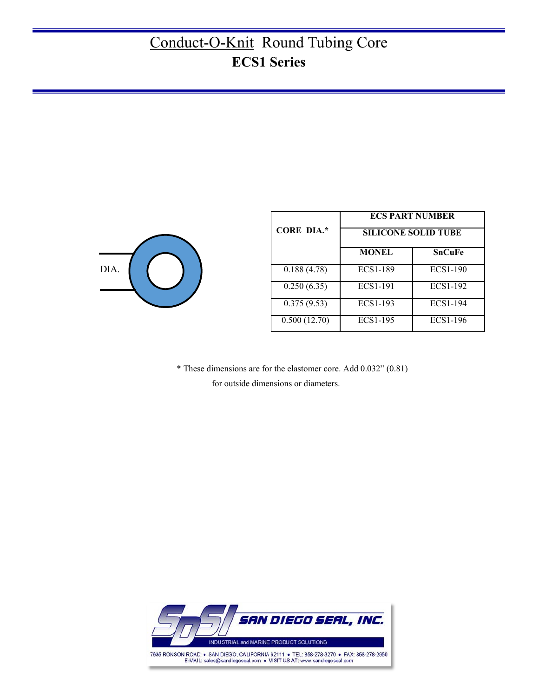# Conduct-O-Knit Round Tubing Core **ECS1 Series**



|                   | <b>ECS PART NUMBER</b>     |               |  |  |
|-------------------|----------------------------|---------------|--|--|
| <b>CORE DIA.*</b> | <b>SILICONE SOLID TUBE</b> |               |  |  |
|                   | <b>MONEL</b>               | <b>SnCuFe</b> |  |  |
| 0.188(4.78)       | ECS1-189                   | ECS1-190      |  |  |
| 0.250(6.35)       | ECS1-191                   | ECS1-192      |  |  |
| 0.375(9.53)       | ECS1-193                   | ECS1-194      |  |  |
| 0.500(12.70)      | ECS1-195                   | ECS1-196      |  |  |

 \* These dimensions are for the elastomer core. Add 0.032" (0.81) for outside dimensions or diameters.